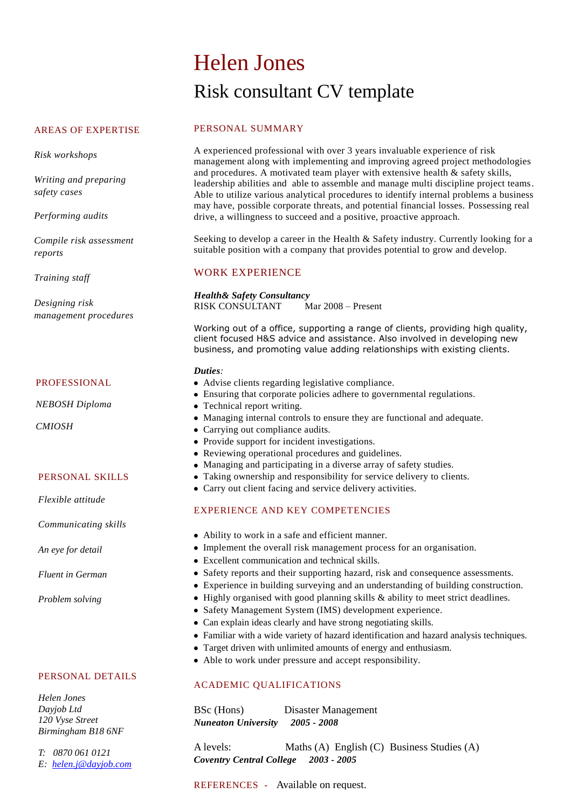# Helen Jones Risk consultant CV template

## AREAS OF EXPERTISE

*Risk workshops*

*Writing and preparing safety cases*

*Performing audits*

*Compile risk assessment reports*

*Training staff*

*Designing risk management procedures*

#### PROFESSIONAL

*NEBOSH Diploma*

*CMIOSH*

#### PERSONAL SKILLS

*Flexible attitude*

*Communicating skills*

*An eye for detail*

*Fluent in German*

*Problem solving*

#### PERSONAL DETAILS

*Helen Jones Dayjob Ltd 120 Vyse Street Birmingham B18 6NF*

*T: 0870 061 0121 E: [helen.j@dayjob.com](mailto:helen.j@dayjob.com)*

## PERSONAL SUMMARY

A experienced professional with over 3 years invaluable experience of risk management along with implementing and improving agreed project methodologies and procedures. A motivated team player with extensive health  $\&$  safety skills, leadership abilities and able to assemble and manage multi discipline project teams. Able to utilize various analytical procedures to identify internal problems a business may have, possible corporate threats, and potential financial losses. Possessing real drive, a willingness to succeed and a positive, proactive approach.

Seeking to develop a career in the Health & Safety industry. Currently looking for a suitable position with a company that provides potential to grow and develop.

## WORK EXPERIENCE

*Health& Safety Consultancy*  RISK CONSULTANT Mar 2008 – Present

Working out of a office, supporting a range of clients, providing high quality, client focused H&S advice and assistance. Also involved in developing new business, and promoting value adding relationships with existing clients.

#### *Duties:*

- Advise clients regarding legislative compliance.
- Ensuring that corporate policies adhere to governmental regulations.
- Technical report writing.
- Managing internal controls to ensure they are functional and adequate.
- Carrying out compliance audits.
- Provide support for incident investigations.
- Reviewing operational procedures and guidelines.
- Managing and participating in a diverse array of safety studies.
- Taking ownership and responsibility for service delivery to clients.
- Carry out client facing and service delivery activities.

## EXPERIENCE AND KEY COMPETENCIES

- Ability to work in a safe and efficient manner.
- Implement the overall risk management process for an organisation.
- Excellent communication and technical skills.
- Safety reports and their supporting hazard, risk and consequence assessments.
- Experience in building surveying and an understanding of building construction.
- Highly organised with good planning skills & ability to meet strict deadlines.
- Safety Management System (IMS) development experience.
- Can explain ideas clearly and have strong negotiating skills.
- Familiar with a wide variety of hazard identification and hazard analysis techniques.
- Target driven with unlimited amounts of energy and enthusiasm.
- Able to work under pressure and accept responsibility.

## ACADEMIC QUALIFICATIONS

BSc (Hons) Disaster Management *Nuneaton University 2005 - 2008*

A levels: Maths (A) English (C) Business Studies (A) *Coventry Central College 2003 - 2005*

REFERENCES - Available on request.